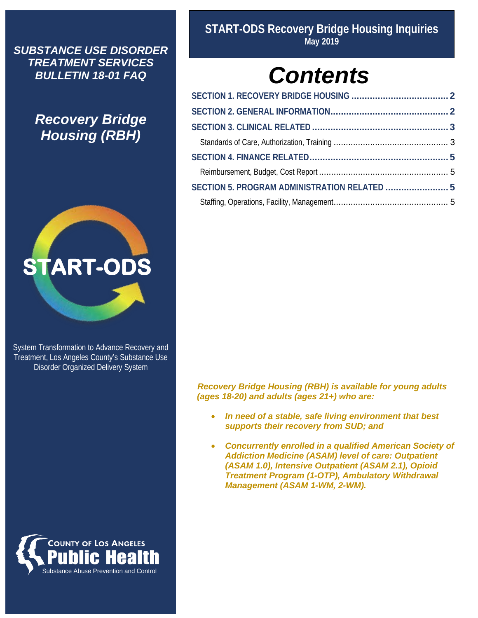*SUBSTANCE USE DISORDER TREATMENT SERVICES BULLETIN 18-01 FAQ*

> *Recovery Bridge Housing (RBH)*



System Transformation to Advance Recovery and Treatment, Los Angeles County's Substance Use Disorder Organized Delivery System



**START-ODS Recovery Bridge Housing Inquiries May 2019**

# *Contents*

| SECTION 5. PROGRAM ADMINISTRATION RELATED  5 |  |
|----------------------------------------------|--|
|                                              |  |

 *Recovery Bridge Housing (RBH) is available for young adults (ages 18-20) and adults (ages 21+) who are:*

- *In need of a stable, safe living environment that best supports their recovery from SUD; and*
- *Concurrently enrolled in a qualified American Society of Addiction Medicine (ASAM) level of care: Outpatient (ASAM 1.0), Intensive Outpatient (ASAM 2.1), Opioid Treatment Program (1-OTP), Ambulatory Withdrawal Management (ASAM 1-WM, 2-WM).*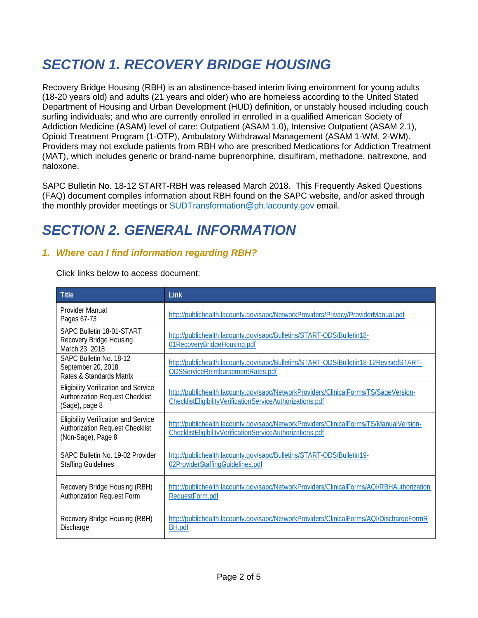# <span id="page-1-0"></span>*SECTION 1. RECOVERY BRIDGE HOUSING*

Recovery Bridge Housing (RBH) is an abstinence-based interim living environment for young adults (18-20 years old) and adults (21 years and older) who are homeless according to the United Stated Department of Housing and Urban Development (HUD) definition, or unstably housed including couch surfing individuals; and who are currently enrolled in enrolled in a qualified American Society of Addiction Medicine (ASAM) level of care: Outpatient (ASAM 1.0), Intensive Outpatient (ASAM 2.1), Opioid Treatment Program (1-OTP), Ambulatory Withdrawal Management (ASAM 1-WM, 2-WM). Providers may not exclude patients from RBH who are prescribed Medications for Addiction Treatment (MAT), which includes generic or brand-name buprenorphine, disulfiram, methadone, naltrexone, and naloxone.

SAPC Bulletin No. 18-12 START-RBH was released March 2018. This Frequently Asked Questions (FAQ) document compiles information about RBH found on the SAPC website, and/or asked through the monthly provider meetings or [SUDTransformation@ph.lacounty.gov](mailto:SUDTransformation@ph.lacounty.gov) email.

# <span id="page-1-1"></span>*SECTION 2. GENERAL INFORMATION*

#### *1. Where can I find information regarding RBH?*

Click links below to access document:

| <b>Title</b>                                                                                                | Link                                                                                                                                                |
|-------------------------------------------------------------------------------------------------------------|-----------------------------------------------------------------------------------------------------------------------------------------------------|
| Provider Manual<br>Pages 67-73                                                                              | http://publichealth.lacounty.gov/sapc/NetworkProviders/Privacy/ProviderManual.pdf                                                                   |
| SAPC Bulletin 18-01-START<br>Recovery Bridge Housing<br>March 23, 2018                                      | http://publichealth.lacounty.gov/sapc/Bulletins/START-ODS/Bulletin18-<br>01RecoveryBridgeHousing.pdf                                                |
| SAPC Bulletin No. 18-12<br>September 20, 2018<br>Rates & Standards Matrix                                   | http://publichealth.lacounty.gov/sapc/Bulletins/START-ODS/Bulletin18-12RevisedSTART-<br>ODSServiceReimbursementRates.pdf                            |
| <b>Eligibility Verification and Service</b><br><b>Authorization Request Checklist</b><br>(Sage), page 8     | http://publichealth.lacounty.gov/sapc/NetworkProviders/ClinicalForms/TS/SageVersion-<br>ChecklistEligibilityVerificationServiceAuthorizations.pdf   |
| <b>Eligibility Verification and Service</b><br><b>Authorization Request Checklist</b><br>(Non-Sage), Page 8 | http://publichealth.lacounty.gov/sapc/NetworkProviders/ClinicalForms/TS/ManualVersion-<br>ChecklistEligibilityVerificationServiceAuthorizations.pdf |
| SAPC Bulletin No. 19-02 Provider<br><b>Staffing Guidelines</b>                                              | http://publichealth.lacounty.gov/sapc/Bulletins/START-ODS/Bulletin19-<br>02ProviderStaffingGuidelines.pdf                                           |
| Recovery Bridge Housing (RBH)<br><b>Authorization Request Form</b>                                          | http://publichealth.lacounty.gov/sapc/NetworkProviders/ClinicalForms/AQI/RBHAuthorization<br>RequestForm.pdf                                        |
| Recovery Bridge Housing (RBH)<br>Discharge                                                                  | http://publichealth.lacounty.gov/sapc/NetworkProviders/ClinicalForms/AQI/DischargeFormR<br><b>BH.pdf</b>                                            |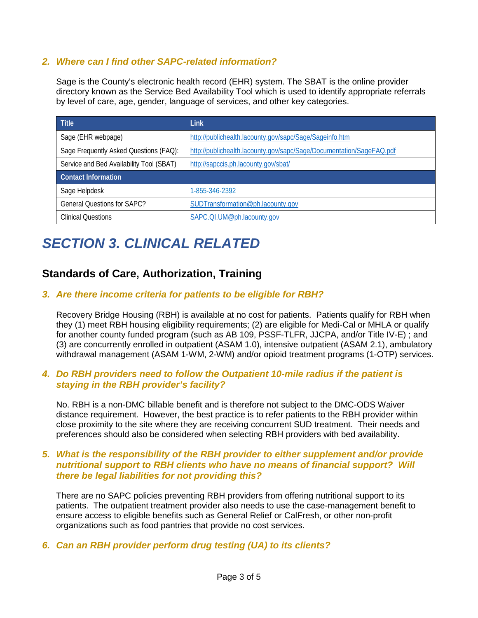#### *2. Where can I find other SAPC-related information?*

Sage is the County's electronic health record (EHR) system. The SBAT is the online provider directory known as the Service Bed Availability Tool which is used to identify appropriate referrals by level of care, age, gender, language of services, and other key categories.

| <b>Title</b>                             | Link                                                                 |  |
|------------------------------------------|----------------------------------------------------------------------|--|
| Sage (EHR webpage)                       | http://publichealth.lacounty.gov/sapc/Sage/Sageinfo.htm              |  |
| Sage Frequently Asked Questions (FAQ):   | http://publichealth.lacounty.gov/sapc/Sage/Documentation/SageFAQ.pdf |  |
| Service and Bed Availability Tool (SBAT) | http://sapccis.ph.lacounty.gov/sbat/                                 |  |
| <b>Contact Information</b>               |                                                                      |  |
| Sage Helpdesk                            | 1-855-346-2392                                                       |  |
| <b>General Ouestions for SAPC?</b>       | SUDTransformation@ph.lacounty.gov                                    |  |
| <b>Clinical Questions</b>                | SAPC.QI.UM@ph.lacounty.gov                                           |  |

# <span id="page-2-0"></span>*SECTION 3. CLINICAL RELATED*

### <span id="page-2-1"></span>**Standards of Care, Authorization, Training**

#### *3. Are there income criteria for patients to be eligible for RBH?*

Recovery Bridge Housing (RBH) is available at no cost for patients. Patients qualify for RBH when they (1) meet RBH housing eligibility requirements; (2) are eligible for Medi-Cal or MHLA or qualify for another county funded program (such as AB 109, PSSF-TLFR, JJCPA, and/or Title IV-E) ; and (3) are concurrently enrolled in outpatient (ASAM 1.0), intensive outpatient (ASAM 2.1), ambulatory withdrawal management (ASAM 1-WM, 2-WM) and/or opioid treatment programs (1-OTP) services.

#### *4. Do RBH providers need to follow the Outpatient 10-mile radius if the patient is staying in the RBH provider's facility?*

No. RBH is a non-DMC billable benefit and is therefore not subject to the DMC-ODS Waiver distance requirement. However, the best practice is to refer patients to the RBH provider within close proximity to the site where they are receiving concurrent SUD treatment. Their needs and preferences should also be considered when selecting RBH providers with bed availability.

#### *5. What is the responsibility of the RBH provider to either supplement and/or provide nutritional support to RBH clients who have no means of financial support? Will there be legal liabilities for not providing this?*

There are no SAPC policies preventing RBH providers from offering nutritional support to its patients. The outpatient treatment provider also needs to use the case-management benefit to ensure access to eligible benefits such as General Relief or CalFresh, or other non-profit organizations such as food pantries that provide no cost services.

#### *6. Can an RBH provider perform drug testing (UA) to its clients?*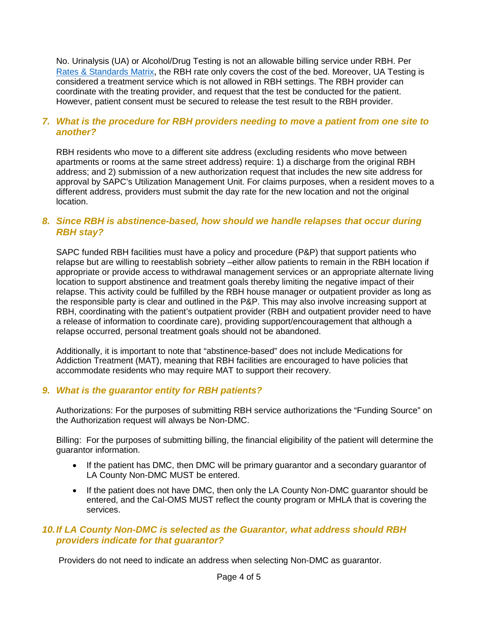No. Urinalysis (UA) or Alcohol/Drug Testing is not an allowable billing service under RBH. Per [Rates & Standards Matrix,](http://publichealth.lacounty.gov/sapc/Bulletins/START-ODS/Bulletin18-12RevisedSTART-ODSServiceReimbursementRates.pdf) the RBH rate only covers the cost of the bed. Moreover, UA Testing is considered a treatment service which is not allowed in RBH settings. The RBH provider can coordinate with the treating provider, and request that the test be conducted for the patient. However, patient consent must be secured to release the test result to the RBH provider.

#### *7. What is the procedure for RBH providers needing to move a patient from one site to another?*

RBH residents who move to a different site address (excluding residents who move between apartments or rooms at the same street address) require: 1) a discharge from the original RBH address; and 2) submission of a new authorization request that includes the new site address for approval by SAPC's Utilization Management Unit. For claims purposes, when a resident moves to a different address, providers must submit the day rate for the new location and not the original location.

#### *8. Since RBH is abstinence-based, how should we handle relapses that occur during RBH stay?*

SAPC funded RBH facilities must have a policy and procedure (P&P) that support patients who relapse but are willing to reestablish sobriety –either allow patients to remain in the RBH location if appropriate or provide access to withdrawal management services or an appropriate alternate living location to support abstinence and treatment goals thereby limiting the negative impact of their relapse. This activity could be fulfilled by the RBH house manager or outpatient provider as long as the responsible party is clear and outlined in the P&P. This may also involve increasing support at RBH, coordinating with the patient's outpatient provider (RBH and outpatient provider need to have a release of information to coordinate care), providing support/encouragement that although a relapse occurred, personal treatment goals should not be abandoned.

Additionally, it is important to note that "abstinence-based" does not include Medications for Addiction Treatment (MAT), meaning that RBH facilities are encouraged to have policies that accommodate residents who may require MAT to support their recovery.

#### *9. What is the guarantor entity for RBH patients?*

Authorizations: For the purposes of submitting RBH service authorizations the "Funding Source" on the Authorization request will always be Non-DMC.

Billing: For the purposes of submitting billing, the financial eligibility of the patient will determine the guarantor information.

- If the patient has DMC, then DMC will be primary quarantor and a secondary quarantor of LA County Non-DMC MUST be entered.
- If the patient does not have DMC, then only the LA County Non-DMC guarantor should be entered, and the Cal-OMS MUST reflect the county program or MHLA that is covering the services.

#### *10.If LA County Non-DMC is selected as the Guarantor, what address should RBH providers indicate for that guarantor?*

Providers do not need to indicate an address when selecting Non-DMC as guarantor.